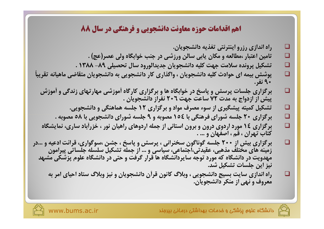#### **اهم اقدامات حوزه معاونت دانشجویی و فرهنگی در سال 88**

راه اندازی رزرو اینترنتی تغذیه دانشجویان.

❏

□

 $\Box$ 

□

□

 $\Box$ 

 $\Box$ 

□

 $\Box$ 

□

- تامین اعتبار ،مطالعه و مکان پابی سالن ورزشی در جنب خوابگاه ولی عصر(عج) .
- تشكيل پرونده سلامت جهت كليه دانشجويان جديدالورود سال تحصيلي ٨٩- ١٣٨٨ .
- پوشش بیمه ای حوادث کلیه دانشجویان ، واگذاری کار دانشجویی به دانشجویان متقاضی ماهیانه تقریباً 40 نفر.
	- برگزاری جلسات پرسش و پاسخ در خوابگاه ها و برگزاری کارگاه آموزشی مهارتهای زندگی و آموزش پیش از ازدواج به مدت ۷۲ ساعت جهت ۲۰۲ نفراز دانشجویان .
		- تشکیل کمیته پیشگیری از سوء مصرف مواد و برگزاری ۱۲ جلسه هماهنگی و دانشجویی.
		- برگزاری ۲۰ جلسه شورای فرهنگی با ۱۵۶ مصوبه و ۹ جلسه شورای دانشجویی با ۵۸ مصوبه .
	- برگزاری ۱۶ مورد اردوی درون و برون استانی از جمله اردوهای راهیان نور ، خزرآباد ساری، نمایشگاه کتاب تهران ، قم ، اصفهان و ... .
- برگزاری بیش از ۲۰۰ جلسه گوناگون سخنرانی ، پرسش و پاسخ ، جشن ،سوگواری، قرائت ادعیه و ...در زمینه های مختلف مذهبی، عقیدتی،اجتماعی، سیاسی و … از جمله تشکیل سلسله جلساتی پیرامون مهدویت در دانشگاه که مورد توجه سایردانشگاه ها قرار گرفت و حتی در دانشگاه علوم پزشکی مشهد نيز اين جلسات تشكيل شد.
	- راه اندازی سایت بسیج دانشجویی ، وبلاگ کانون قرأن دانشجویان و نیز وبلاگ ستاد احیای امر به معروف و نهی از منکر دانشجویان.

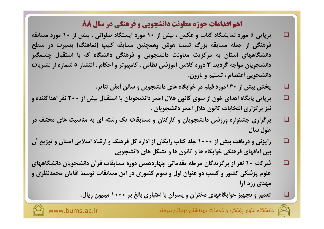#### **اهم اقدامات حوزه معاونت دانشجویی و فرهنگی در سال 88**

- بریایی ۵ مورد نمایشگاه کتاب و عکس ، بیش از ۱۰ مورد ایستگاه صلواتی ، بیش از ۱۰ مورد مسابقه فرهنگی از جمله مسابقه بزرگ تست هوش وهمچنین مسابقه کلیپ (نماهنگ) بصیرت در سطح دانشگاههای استان به مرکزیت معاونت دانشجویی و فرهنگی دانشگاه که با استقبال چشمگیر دانشجویان مواجه گردید، ۳ دوره کلاس أموزشی نظامی ، کامپیوتر و احکام ، انتشار ۵ شماره از نشریات دانشجويي اعتصام ، تسنيم و بارون.
	- پخش بیش از ۱۳۰مورد فیلم در خوابگاه های دانشجویی و سالن آمفی تئاتر. □
- برپایی پایگاه اهدای خون از سوی کانون هلال احمر دانشجویان با استقبال بیش از ۲۰۰ نفر اهداکننده و  $\Box$ نيز برگزاري انتخابات كانون هلال احمر دانشجويان .
- برگزاری جشنواره ورزشی دانشجویان و کارکنان و مسابقات تک رشته ای به مناسبت های مختلف در  $\Box$ طول سال
- رایزنی و دریافت بیش از ۱۰۰۰ جلد کتاب رایگان از اداره کل فرهنگ و ارشاد اسلامی استان و توزیع آن  $\Box$ بین اتاقهای فرهنگی خوابگاه ها و کانون ها و تشکل های دانشجویی
- شرکت ۱۰ نفر از برگزیدگان مرحله مقدماتی چهاردهمین دوره مسابقات قرآن دانشجویان دانشگاههای □ علوم پزشکی کشور و کسب دو عنوان اول و سوم کشوری در این مسابقات توسط أقایان محمدنظری و مهدي رزم آرا
	- تعمیر و تجهیز خوابگاههای دختران و پسران با اعتباری بالغ بر ۱۰۰۰ میلیون ریال.

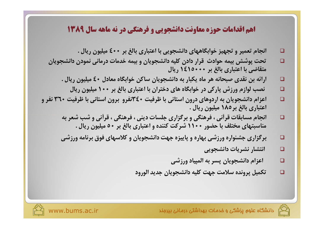#### **اهم اقدامات حوزه معاونت دانشجویی و فرهنگی در نه ماهه سال ۱۳۸۹**

- انجام تعمیر و تجهیز خوابگاههای دانشجویی با اعتباری بالغ بر ٤٠٠ میلیون ریال .  $\Box$
- تحت پوشش بیمه حوادث قرار دادن کلیه دانشجویان و بیمه خدمات درمانی نمودن دانشجویان  $\Box$ متقاضی با اعتباری بالغ بر ۱۶۱۵۰۰۰ ریال
	- ارائه بن نقدی صبحانه هر ماه یکبار به دانشجویان ساکن خوابگاه معادل ٤٠ میلیون ریال .  $\Box$ 
		- نصب لوازم ورزش پارکی در خوابگاه های دختران با اعتباری بالغ بر ۱۰۰ میلیون ریال  $\Box$
- اعزام دانشجویان به اردوهای درون استانی با ظرفیت ۴۶۰نفرو برون استانی با ظرفیت ۳۶۰ نفر و  $\Box$ اعتباري بالغ بر١٨٥ ميليون ريال .
	- انجام مسابقات قرأنی ، فرهنگی و برگزاری جلسات دینی ، فرهنگی ، قرأنی و شب شعر به  $\Box$ مناسبتهای مختلف با حضور ۱۱۰۰ شیرکت کننده و اعتباری بالغ بر ۵۰ میلیون ریال .
	- برگزاری جشنواره ورزشی بهاره و پاییزه جهت دانشجویان و کلاسهای فوق برنامه ورزشی  $\Box$ 
		- انتشار نشريات دانشجويي  $\Box$
		- اعزام دانشجويان پسر به المپياد ورزشي  $\Box$
		- تكميل پرونده سلامت جهت كليه دانشجويان جديد الورود  $\Box$



www.bums.ac.ir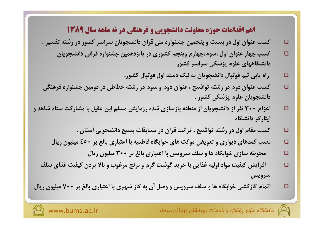# ۱هم اقدامات حوزه معاونت دانشجویی و فرهنگی در نه ماهه سال ۱۳۸۹

- کسب عنوان اول در بیست و پنجمین جشنواره ملی قران دانشجویان سراسر کشور در رشته تفسیر .  $\Box$ 
	- کسب چهار عنوان اول ،سوم،چهارم وپنجم کشوری در پانزدهمین جشنواره قرانی دانشجویان  $\Box$ دانشگاههای علوم پزشکی سراسر کشور.
		- راه یابی تیم فوتبال دانشجویان به لیگ دسته اول فوتبال کشور.

- کسب عنوان دوم در رشته تواشیح ، عنوان دوم و سوم در رشته خطاطی در دومین جشنواره فرهنگی  $\Box$ دانشجويان علوم پزشكي كشور .
- اعزام ۳۰۰ نفر از دانشجویان از منطقه بازسازی شده رزمایش مسلم ابن عقیل با مشارکت ستاد شاهد و □ ایثارگر دانشگاه
	- کسب مقام اول در رشته تواشیح ، قرائت قران در مسابقات بسیج دانشجویی استان .  $\Box$
	- نصب کمدهای دیواری و تعویض موکت های خوابگاه فاطمیه با اعتباری بالغ بر ٤٥٠ میلیون ریال  $\Box$ 
		- محوطه سازی خوابگاه ها و سلف سرویس با اعتباری بالغ بر ۳۰۰ میلیون ریال □
	- افزایش کیفیت مواد اولیه غذایی با خرید گوشت گرم و برنج مرغوب و بالا بردن کیفیت غذای سلف  $\Box$ سرويس
- اتمام گازکشی خوابگاه ها و سلف سرویس و وصل آن به گاز شهری با اعتباری بالغ بر ۷۰۰ میلیون ریال  $\Box$

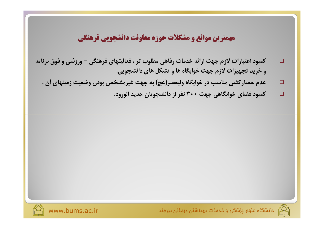## مهمترين موانع و مشكلات حوزه معاونت دانشجويي فرهنگي

- کمبود اعتبارات لازم جهت ارائه خدمات رفاهی مطلوب تر ، فعالیتهای فرهنگی ورزشی و فوق برنامه  $\Box$ و خرید تجهیزات لازم جهت خوابگاه ها و تشکل های دانشجویی.
	- عدم حصار کشی مناسب در خوابگاه ولیعصر(عج) به جهت غیرمشخص بودن وضعیت زمینهای آن .  $\Box$ 
		- کمبود فضای خوابگاهی جهت ۳۰۰ نفر از دانشجویان جدید الورود.  $\Box$





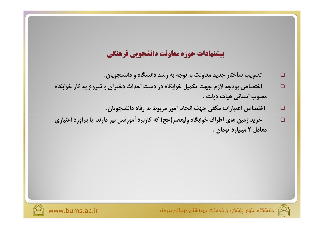# پیشنهادات حوزه معاونت دانشجویی فرهنگی

- تصویب ساختار جدید معاونت با توجه به رشد دانشگاه و دانشجویان.  $\Box$
- اختصاص بودجه لازم جهت تكميل خوابگاه در دست احداث دختران و شروع به كار خوابگاه  $\Box$ مصوب استاني هيات دولت .
	- اختصاص اعتبارات مكفى جهت انجام امور مربوط به رفاه دانشجويان.  $\Box$
- خرید زمین های اطراف خوابگاه ولیعصر(عج) که کاربرد آموزشی نیز دارند با برآورد اعتباری  $\Box$ معادل ۲ میلیارد تومان .





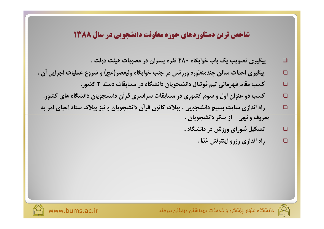### شاخص ترین دستاوردهای حوزه معاونت دانشجویی در سال ۱۳۸۸

- پیگیری تصویب یک باب خوابگاه ۲۸۰ نفره پسران در مصوبات هیئت دولت .  $\Box$
- پیگیری احداث سالن چندمنظوره ورزشی در جنب خوابگاه ولیعصر(عج) و شروع عملیات اجرایی آن .  $\Box$ 
	- کسب مقام قهرمانی تیم فوتبال دانشجویان دانشگاه در مسابقات دسته ۲ کشور.
	- کسب دو عنوان اول و سوم کشوری در مسابقات سراسری قرآن دانشجویان دانشگاه های کشور.  $\Box$
- راه اندازی سایت بسیج دانشجویی ، وبلاگ کانون قرآن دانشجویان و نیز وبلاگ ستاد احیای امر به معروف و نهي از منكر دانشجويان .
	- تشکیل شورای ورزش در دانشگاه .  $\Box$ 
		- راه اندازی رزرو اینترنتی غذا .  $\Box$



 $\Box$ 

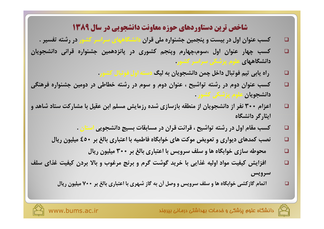# شاخص ترین دستاوردهای حوزه معاونت دانشجویی در سال ۱۳۸۹

- کسب عنوان اول در بیست و پنجمین جشنواره ملی قران دانشگاههای سراسر کشور در رشته تفسیر .
- کسب چهار عنوان اول ،سوم،چهارم وینجم کشوری در یانزدهمین جشنواره قرانی دانشجویان □ **دانشگاههای عل**وم پزشکی سراسر کشور.
	- راه یابی تیم فوتبال داخل چمن دانشجویان به لیگ دسته اول فوتبال کشور.
- کسب عنوان دوم در رشته تواشیح ، عنوان دوم و سوم در رشته خطاطی در دومین جشنواره فرهنگی  $\Box$ **دانشجويان** علوم پزشكي كشور .
- اعزام ۳۰۰ نفر از دانشجویان از منطقه بازسازی شده رزمایش مسلم ابن عقیل با مشارکت ستاد شاهد و  $\Box$ ایثارگر دانشگاه
	- کسب مقام اول در رشته تواشیح ، قرائت قران در مسابقات بسیج دانشجویی استان .  $\Box$
	- نصب کمدهای دیواری و تعویض موکت های خوابگاه فاطمیه با اعتباری بالغ بر ٤٥٠ میلیون ریال  $\Box$ 
		- محوطه سازی خوابگاه ها و سلف سرویس با اعتباری بالغ بر ۳۰۰ میلیون ریال
- افزایش کیفیت مواد اولیه غذایی با خرید گوشت گرم و برنج مرغوب و بالا بردن کیفیت غذای سلف □ سرويس
	- اتمام گازکشی خوابگاه ها و سلف سرویس و وصل آن به گاز شهری با اعتباری بالغ بر ۷۰۰ میلیون ریال

 $\Box$ 

 $\Box$ 

□

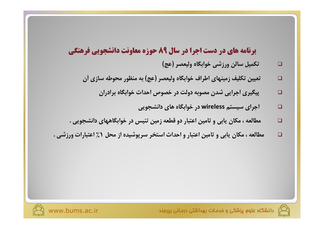# **برنامه های در دست اجرا در سال 89 حوزه معاونت دانشجویی فرهنگی**

- تكميل سالن ورزشي خوابگاه وليعصر (عج)  $\Box$
- تعیین تکلیف زمینهای اطراف خوابگاه ولیعصر (عج) به منظور محوطه سازی آن  $\Box$ 
	- پیگیری اجرایی شدن مصوبه دولت در خصوص احداث خوابگاه برادران  $\Box$ 
		- اجرای سیستم wireless در خوابگاه های دانشجویی  $\Box$
- مطالعه ، مکان پابی و تامین اعتبار دو قطعه زمین تنیس در خوابگاههای دانشجویی .  $\Box$
- مطالعه ، مكان يابي و تامين اعتبار و احداث استخر سرپوشيده از محل ١٪ اعتبارات ورزشي .  $\Box$

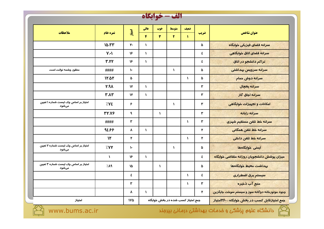| الف - خوابگاه                                 |               |               |                     |              |              |                                   |             |                                                |  |  |
|-----------------------------------------------|---------------|---------------|---------------------|--------------|--------------|-----------------------------------|-------------|------------------------------------------------|--|--|
|                                               |               |               | عالى                | خوب          | متوسط        | ضعيف                              |             |                                                |  |  |
| ملاحظات                                       | نمره خام      | امتياز        | $\mathbf{r}$        | ۳            | ۲            | $\mathbf{I}$                      | ضريب        | عنوان شاخص                                     |  |  |
|                                               | 10.٣٣         | ۲.            | $\mathbf{A}$        |              |              |                                   | ٥           | سرانه فضاى فيزيكى خوابگاه                      |  |  |
|                                               | $Y - 1$       | 16            | $\mathbf{A}$        |              |              |                                   | $\pmb{\xi}$ | سرانه فضای اتاق خوابگاهی                       |  |  |
|                                               | ٣.٢٢          | 16            | $\mathbf{I}$        |              |              |                                   | ٤           | تراكم دانشجو در اتاق                           |  |  |
| منظور چشمه توالت است                          | ####          | ١.            |                     |              | $\mathbf{I}$ |                                   | ە           | سرانه سرویس بهداشتی                            |  |  |
|                                               | 12.07         | ە             |                     |              |              | $\mathbf{V}$                      | ٥           | <mark>سرانه دوش حمام</mark>                    |  |  |
|                                               | ለዖ.ฯ          | $\mathcal{W}$ | $\mathbf{A}$        |              |              |                                   | ۳           | سرانه يخچال                                    |  |  |
|                                               | ۳.۸۳          | $\mathcal{W}$ | $\mathbf{A}$        |              |              |                                   | ۳           | سرانه اجاق گاز                                 |  |  |
| امتیاز بر اساس چک لیست شماره ۱ تعیین<br>میشود | 7.12          | ۶             |                     |              | $\mathbf{A}$ |                                   | ۳           | امکانات و تجهیزات خوابگاهی                     |  |  |
|                                               | ٣٢.٧۶         | ٩             |                     | $\lambda$    |              |                                   | ۳           | سرانه رايانه                                   |  |  |
|                                               | ####          | ۳             |                     |              |              | $\mathbf{A}$                      | ٣           | سرانه خط تلفن مستقيم شهري                      |  |  |
|                                               | 92.59         | Υ             | $\mathbf{I}$        |              |              |                                   | ۲           | سرانه خط تلفن همگانی                           |  |  |
|                                               | $\mathcal{W}$ | ۲             |                     |              |              | $\mathbf{A}$                      | ۲           | سرانه خط تلفن داخلى                            |  |  |
| امتیاز بر اساس چک لیست شماره ۲ تعیین<br>مىشود | / Y Y         | ١.            |                     |              | $\lambda$    |                                   | ە           | ایمنی خوابگاهها                                |  |  |
|                                               | $\mathbf{A}$  | 16            | $\mathbf{A}$        |              |              |                                   | $\pmb{\xi}$ | میزان پوشش دانشجویان روزانه متقاضی خوابگاه     |  |  |
| امتیاز بر اساس چک لیست شماره ۳ تعیین<br>میشود | 7.19          | ١۵            |                     | $\mathbf{I}$ |              |                                   | ٥           | بهداشت محيط خوابگاهها                          |  |  |
|                                               |               | ٤             |                     |              |              | $\mathbf{A}$                      | $\pmb{\xi}$ | سیستم برق اضطراری                              |  |  |
|                                               |               | ۳             |                     |              |              | $\mathbf{I}$                      | ٣           | منبع آب ذخیره                                  |  |  |
|                                               |               | γ             | $\pmb{\mathcal{N}}$ |              |              |                                   | ۲           | وجود موتورخانه دوگانه سوز و سیستم سوخت جایگزین |  |  |
| امتياز                                        |               | 170           |                     |              |              | جمع امتیاز کسب شده در بخش خوابگاه |             | جمع امتیازقابل کسب در بخش خوابگاه : -۱۲۶متیاز  |  |  |



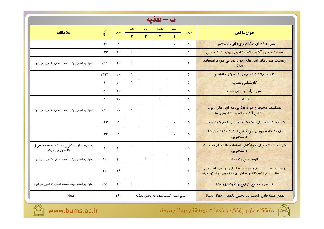| ملاحظات                                                 | نمره خام                    | امتياز        | عالى         | خوب       | متوسط                           | ضعيف         | ضريب | عنوان شاخص                                                                                                                             |  |  |  |  |
|---------------------------------------------------------|-----------------------------|---------------|--------------|-----------|---------------------------------|--------------|------|----------------------------------------------------------------------------------------------------------------------------------------|--|--|--|--|
|                                                         |                             |               | $\mathbf{r}$ | ۳.        | $\mathbf{Y}$                    | $\mathbf{L}$ |      |                                                                                                                                        |  |  |  |  |
|                                                         | $\cdot$ , $\gamma$ 9        | ٤             |              |           |                                 | $\lambda$    | ٤    | سرانه فضای غذاخوریهای دانشجویی                                                                                                         |  |  |  |  |
|                                                         | $\cdot$ ۳۳                  | 18            | $\lambda$    |           |                                 |              | ٤    | سرانه فضاى آشپزخانه غذاخورىهاى دانشجويى                                                                                                |  |  |  |  |
| امتیاز بر اساس چک لیست شماره ٤ تعیین میشود              | 791                         | ۱۶            | $\lambda$    |           |                                 |              | ٤    | وضعیت سردخانه انبارهای مواد غذایی مورد استفاده<br>دانشگاه                                                                              |  |  |  |  |
|                                                         | ٣٣١٣                        | $Y -$         | $\lambda$    |           |                                 |              | Δ    | <mark>کالری ا<i>ز</i>ائه شده <i>ز</i>وزانه به هر دانشجو</mark>                                                                         |  |  |  |  |
|                                                         | $\lambda$                   | ۲.            | $\lambda$    |           |                                 |              | δ    | <mark>كا<i>ر</i>شناس تغذي</mark> ه                                                                                                     |  |  |  |  |
|                                                         | ە                           | $\mathcal{L}$ |              |           | $\lambda$                       |              | Δ    | <mark>میوهجات و سبزی<del>ح</del>ات</mark>                                                                                              |  |  |  |  |
|                                                         | Δ                           | $\mathcal{L}$ |              |           | $\lambda$                       |              | Δ    | لبنيات                                                                                                                                 |  |  |  |  |
| امتیاز بر اساس چک لیست شماره ٤ تعیین میشود              | 7.91                        | ۲.            |              |           |                                 |              | Δ    | بهداشت محیط و مواد غذایی د <i>ر</i> انبا <i>ر</i> های مواد<br>غذایی،آشپزخانه و غذاخوریها                                               |  |  |  |  |
|                                                         | $. \mathcal{E} \mathcal{Y}$ | ە             |              |           |                                 |              | ۵    | <mark>درصد دانشجویان استفادهکننده از ناها<i>ر</i> دانشجویی</mark>                                                                      |  |  |  |  |
|                                                         | $\cdot$ ۳۲                  | Δ             |              |           |                                 |              | Δ    | <mark>د<i>ر</i>صد دانشجویان خوابگاهی استفاده کننده از شام</mark><br>دانشجویی                                                           |  |  |  |  |
| بصورت ماهيانه كوپن دريافت صبحانه تحويل<br>دانشجومی گردد | $\lambda$                   | ۲.            |              |           |                                 |              | Δ    | <mark>د<i>ر</i>صد دانشجویان خوابگاهی استفادهکننده ا<i>ز</i> صبحانه</mark><br>دانشجويي                                                  |  |  |  |  |
| امتیاز بر اساس چک لیست شماره ۵ تعیین میشود              | ٨۶                          | $\mathcal{N}$ |              | $\lambda$ |                                 |              | ٤    | اتوماسيون تغذيه                                                                                                                        |  |  |  |  |
|                                                         | $\mathcal{N}$               | ۱۶            | $\lambda$    |           |                                 |              | ٤    | وجود سیستم آب، برق و سوخت اصظرا <i>ز</i> ی، و تجهیزات ایمنی<br>مناسب د <i>ر</i> آشپزخانه و غذاخوری دانش <del>ج</del> ویی و اماکن مرتبط |  |  |  |  |
| امتیاز بر اساس چک لیست شماره ۶ تعیین میشود              | 7.۹۵                        | ١۶            | $\lambda$    |           |                                 |              | ٤    | <mark>تج</mark> بیزات طبخ، توزیع و نگهدا <i>ر</i> ی غذا                                                                                |  |  |  |  |
| امتياز                                                  |                             | ۱۹۰           |              |           | جمع امتیاز کسب شده در بخش تغذیه |              |      | جمع امتیازقابل کسب در بخش تغذیه : ۲۵۶ امتیاز                                                                                           |  |  |  |  |

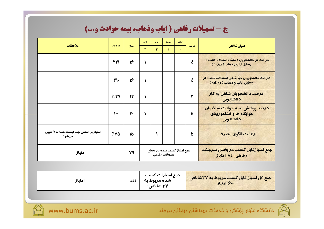# ج - تسهيلات رفاهي ( اياب وذهاب، بيمه حوادث و...)

| ملاحظات                                       | نمره خام | امتياز | عالى<br>۴ | خوب<br>۳ | متوسط<br>۲                                 | ضعيف<br>$\mathbf{I}$ | ضريب | عنوان شاخص                                                                           |
|-----------------------------------------------|----------|--------|-----------|----------|--------------------------------------------|----------------------|------|--------------------------------------------------------------------------------------|
|                                               | 144      | 16     |           |          |                                            |                      | ٤    | در صد کل دانشجویان دانشگاه استفاده کننده از<br>وسایل ایاب و ذهاب ( روزانه )          |
|                                               | ٣۱-      | 16     | ١         |          |                                            |                      | ٤    | در صد دانشجویان خوابگاهی استفاده کننده از<br>وسایل ایاب و ذهاب ( روزانه )            |
|                                               | Y.YY     | ١٢     |           |          |                                            |                      | ۳    | درصد دانشجویان شاغل به کار<br>دانشجویی                                               |
|                                               | ۰.۱      | ٢.     | ١         |          |                                            |                      | ۵    | درصد پوشش بیمه حوادث ساختمان<br>خوابگاه ها و غذاخوریهای<br>دانشجویی                  |
| امتیاز بر اساس چک لیست شماره Υ تعیین<br>مىشود | 7.70     | ١۵     |           |          |                                            |                      | ۵    | رعايت الگوى مصرف                                                                     |
| امتياز                                        |          | Y٩     |           |          | جمع امتیاز کسب شده در بخش<br>تسهيلات رفاهى |                      |      | جمع امتیازقابل کسب د <i>ر</i> ب <del>خ</del> ش تس <u>پی</u> لات<br>رفاهی : ٤٨ امتیاز |
|                                               |          |        |           |          |                                            |                      |      |                                                                                      |

| امتياز | ESE | شده مربوط به<br>۳۷ شاخص : | ِ جمع کل امتیاز قابل کسب مربوط به ۳۷شاخص<br>-- ۶ امتیاز |
|--------|-----|---------------------------|---------------------------------------------------------|
|--------|-----|---------------------------|---------------------------------------------------------|



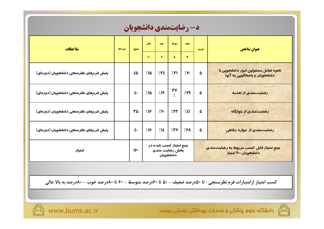|  |  |  | <b>5- رضایتمندی دانشجویان</b> |
|--|--|--|-------------------------------|
|--|--|--|-------------------------------|

| ملاحظات                                | نمره خام | امتياز | عالى                                                                      | خوب                 | متوسط                 | ضعيف      | ضريب                                                           | عنوان شاخص                                                          |  |
|----------------------------------------|----------|--------|---------------------------------------------------------------------------|---------------------|-----------------------|-----------|----------------------------------------------------------------|---------------------------------------------------------------------|--|
|                                        |          |        | $\mathbf{L}$                                                              | $\ddot{\mathbf{r}}$ | $\lambda$             | ٧         |                                                                |                                                                     |  |
| پایش فرمهای نظرسنجی دانشجویان (دورهای) |          | ٤δ     | 7.10                                                                      | 7.12                | 7.5                   | 7.1       | ە                                                              | نحوه تعامل مسئولین امور دانشجویی با<br>دانشجویان و پاسخگویی به آنها |  |
| پایش فرمهای نظرسنجی دانشجویان (دورهای) |          | ٤.     | ٬۱۵                                                                       | 7.19                | ٣٧<br>$\gamma$        | 7.19      | ە                                                              | رضایتمندی از تغذیه                                                  |  |
| پایش فرمهای نظرسنجی دانشجویان (دورهای) |          | ٣٥     | 7.15                                                                      | $/$ Y-              | $/$ $\gamma$ $\gamma$ | 7.51      | ە                                                              | رضایتمندی از خوابگاه                                                |  |
| پایش فرمهای نظرسنجی دانشجویان (دورهای) |          | ٤.     | 715                                                                       | $\lambda$           | $/$ ۳۲                | $\lambda$ | ە                                                              | رضایتمندی از موارد رفاهی                                            |  |
| امتياز                                 |          | 16.    | جمع امتیاز کسب شده در<br>ب <del>خ</del> ش <i>ر</i> ضایت مندی<br>دانشجويان |                     |                       |           | جمع امتیاز قابل کسب مربوط به رضایتمندی<br>دانشجویان ۲۰۰ امتیاز |                                                                     |  |

کسب امتیاز ازامتیازات فرم نظرسنجی : تا ۵۰درصد ضعیف – ۵۰ تا ۶۰درصد متوسط – ۶۰ تا ۸۰درصد خوب – ۸۰درصد به بالا عالی